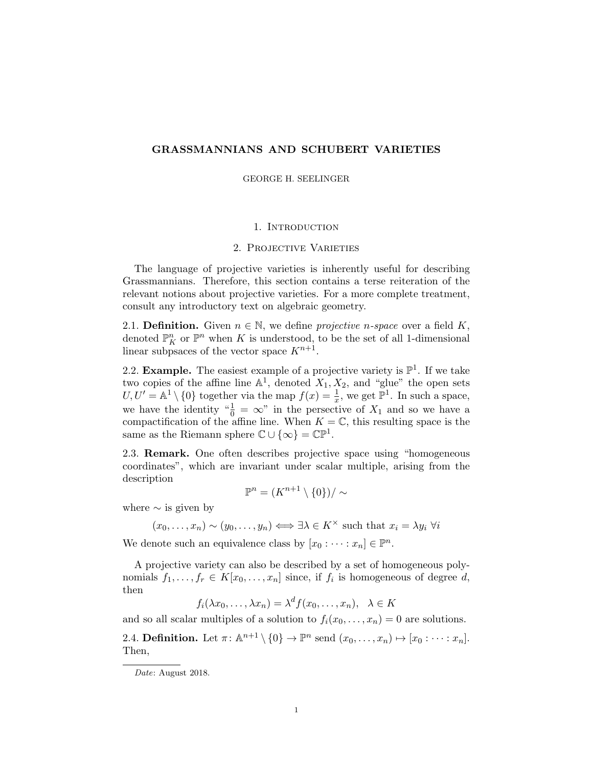# <span id="page-0-0"></span>GRASSMANNIANS AND SCHUBERT VARIETIES

GEORGE H. SEELINGER

#### 1. INTRODUCTION

#### 2. Projective Varieties

The language of projective varieties is inherently useful for describing Grassmannians. Therefore, this section contains a terse reiteration of the relevant notions about projective varieties. For a more complete treatment, consult any introductory text on algebraic geometry.

2.1. **Definition.** Given  $n \in \mathbb{N}$ , we define *projective n-space* over a field K, denoted  $\mathbb{P}^n$  or  $\mathbb{P}^n$  when K is understood, to be the set of all 1-dimensional linear subpsaces of the vector space  $K^{n+1}$ .

2.2. **Example.** The easiest example of a projective variety is  $\mathbb{P}^1$ . If we take two copies of the affine line  $\mathbb{A}^1$ , denoted  $X_1, X_2$ , and "glue" the open sets  $U, U' = \mathbb{A}^1 \setminus \{0\}$  together via the map  $f(x) = \frac{1}{x}$ , we get  $\mathbb{P}^1$ . In such a space, we have the identity " $\frac{1}{0} = \infty$ " in the persective of  $X_1$  and so we have a compactification of the affine line. When  $K = \mathbb{C}$ , this resulting space is the same as the Riemann sphere  $\mathbb{C} \cup \{\infty\} = \mathbb{C} \mathbb{P}^1$ .

2.3. Remark. One often describes projective space using "homogeneous coordinates", which are invariant under scalar multiple, arising from the description

$$
\mathbb{P}^n = (K^{n+1} \setminus \{0\})/\sim
$$

where  $\sim$  is given by

$$
(x_0, \ldots, x_n) \sim (y_0, \ldots, y_n) \Longleftrightarrow \exists \lambda \in K^\times \text{ such that } x_i = \lambda y_i \ \forall i
$$

We denote such an equivalence class by  $[x_0 : \cdots : x_n] \in \mathbb{P}^n$ .

A projective variety can also be described by a set of homogeneous polynomials  $f_1, \ldots, f_r \in K[x_0, \ldots, x_n]$  since, if  $f_i$  is homogeneous of degree d, then

$$
f_i(\lambda x_0, \dots, \lambda x_n) = \lambda^d f(x_0, \dots, x_n), \quad \lambda \in K
$$

and so all scalar multiples of a solution to  $f_i(x_0, \ldots, x_n) = 0$  are solutions.

2.4. **Definition.** Let  $\pi: \mathbb{A}^{n+1} \setminus \{0\} \to \mathbb{P}^n$  send  $(x_0, \ldots, x_n) \mapsto [x_0: \cdots : x_n]$ . Then,

Date: August 2018.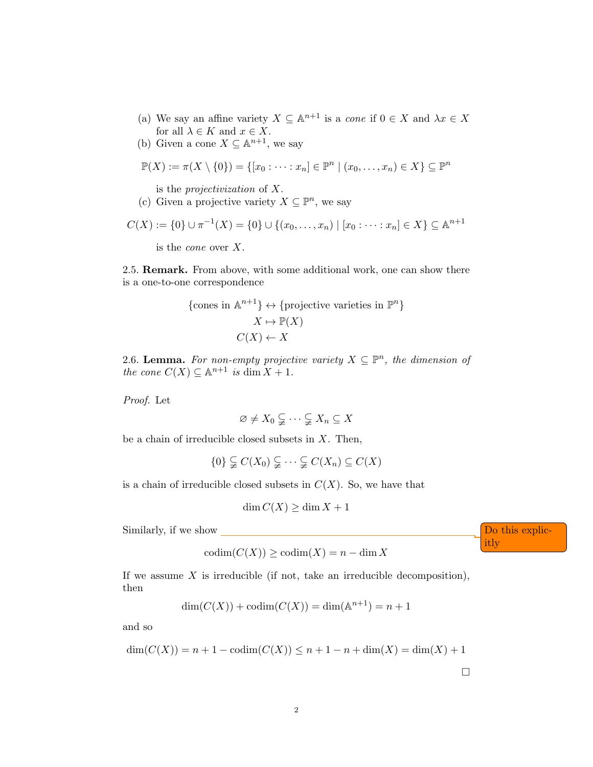- (a) We say an affine variety  $X \subseteq \mathbb{A}^{n+1}$  is a cone if  $0 \in X$  and  $\lambda x \in X$ for all  $\lambda \in K$  and  $x \in X$ .
- (b) Given a cone  $X \subseteq \mathbb{A}^{n+1}$ , we say

$$
\mathbb{P}(X) := \pi(X \setminus \{0\}) = \{ [x_0 : \dots : x_n] \in \mathbb{P}^n \mid (x_0, \dots, x_n) \in X \} \subseteq \mathbb{P}^n
$$

is the projectivization of X.

(c) Given a projective variety  $X \subseteq \mathbb{P}^n$ , we say

$$
C(X) := \{0\} \cup \pi^{-1}(X) = \{0\} \cup \{(x_0, \ldots, x_n) \mid [x_0 : \cdots : x_n] \in X\} \subseteq \mathbb{A}^{n+1}
$$

is the cone over X.

2.5. Remark. From above, with some additional work, one can show there is a one-to-one correspondence

{cones in 
$$
\mathbb{A}^{n+1}
$$
}  $\leftrightarrow$  {projective varieties in  $\mathbb{P}^n$ }  
 $X \mapsto \mathbb{P}(X)$   
 $C(X) \leftarrow X$ 

2.6. Lemma. For non-empty projective variety  $X \subseteq \mathbb{P}^n$ , the dimension of the cone  $C(X) \subseteq \mathbb{A}^{n+1}$  is dim  $X + 1$ .

Proof. Let

$$
\varnothing \neq X_0 \subsetneqq \cdots \subsetneqq X_n \subseteq X
$$

be a chain of irreducible closed subsets in  $X$ . Then,

$$
\{0\} \subsetneqq C(X_0) \subsetneqq \cdots \subsetneqq C(X_n) \subseteq C(X)
$$

is a chain of irreducible closed subsets in  $C(X)$ . So, we have that

$$
\dim C(X) \ge \dim X + 1
$$

Similarly, if we show  $\Box$ 

$$
codim(C(X)) \geq codim(X) = n - \dim X
$$

If we assume  $X$  is irreducible (if not, take an irreducible decomposition), then

$$
\dim(C(X)) + \operatorname{codim}(C(X)) = \dim(\mathbb{A}^{n+1}) = n+1
$$

and so

$$
\dim(C(X)) = n + 1 - \operatorname{codim}(C(X)) \le n + 1 - n + \dim(X) = \dim(X) + 1
$$

itly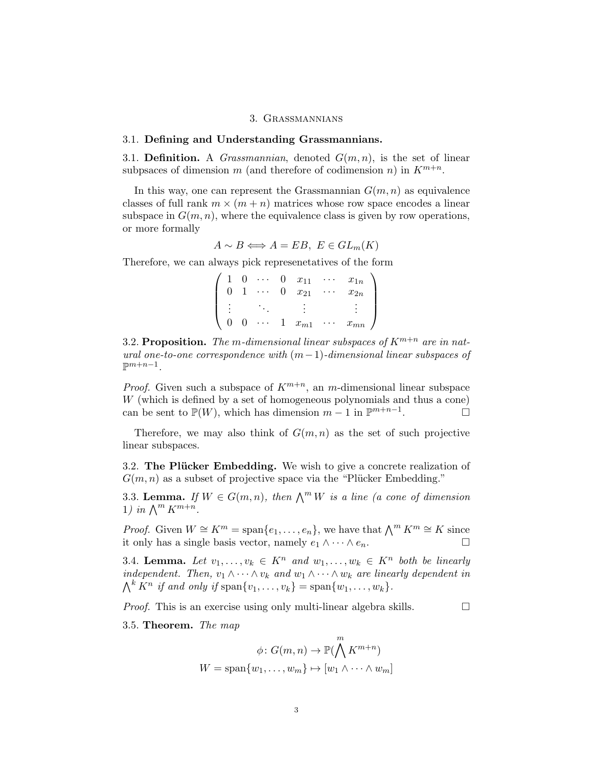### 3. Grassmannians

### 3.1. Defining and Understanding Grassmannians.

3.1. Definition. A *Grassmannian*, denoted  $G(m, n)$ , is the set of linear subpsaces of dimension m (and therefore of codimension n) in  $K^{m+n}$ .

In this way, one can represent the Grassmannian  $G(m, n)$  as equivalence classes of full rank  $m \times (m + n)$  matrices whose row space encodes a linear subspace in  $G(m, n)$ , where the equivalence class is given by row operations, or more formally

$$
A \sim B \Longleftrightarrow A = EB, \ E \in GL_m(K)
$$

Therefore, we can always pick represenetatives of the form

 $\sqrt{ }$  $\overline{\phantom{a}}$  $1 \quad 0 \quad \cdots \quad 0 \quad x_{11} \quad \cdots \quad x_{1n}$  $0 \quad 1 \quad \cdots \quad 0 \quad x_{21} \quad \cdots \quad x_{2n}$ . . . . . . . . . . . .  $0 \quad 0 \quad \cdots \quad 1 \quad x_{m1} \quad \cdots \quad x_{mn}$  $\setminus$  $\Bigg\}$ 

3.2. Proposition. The m-dimensional linear subspaces of  $K^{m+n}$  are in natural one-to-one correspondence with  $(m-1)$ -dimensional linear subspaces of  $\mathbb{P}^{m+n-1}$ .

*Proof.* Given such a subspace of  $K^{m+n}$ , an m-dimensional linear subspace W (which is defined by a set of homogeneous polynomials and thus a cone) can be sent to  $\mathbb{P}(W)$ , which has dimension  $m-1$  in  $\mathbb{P}^{m+n-1}$ .

Therefore, we may also think of  $G(m, n)$  as the set of such projective linear subspaces.

3.2. The Plücker Embedding. We wish to give a concrete realization of  $G(m, n)$  as a subset of projective space via the "Plücker Embedding."

3.3. Lemma. If  $W \in G(m, n)$ , then  $\bigwedge^m W$  is a line (a cone of dimension 1) in  $\bigwedge^m K^{m+n}$ .

*Proof.* Given  $W \cong K^m = \text{span}\{e_1, \ldots, e_n\}$ , we have that  $\bigwedge^m K^m \cong K$  since it only has a single basis vector, namely  $e_1 \wedge \cdots \wedge e_n$ . □

3.4. Lemma. Let  $v_1, \ldots, v_k \in K^n$  and  $w_1, \ldots, w_k \in K^n$  both be linearly independent. Then,  $v_1 \wedge \cdots \wedge v_k$  and  $w_1 \wedge \cdots \wedge w_k$  are linearly dependent in  $\bigwedge^k K^n$  if and only if  $\text{span}\{v_1,\ldots,v_k\} = \text{span}\{w_1,\ldots,w_k\}.$ 

*Proof.* This is an exercise using only multi-linear algebra skills.  $\Box$ 

3.5. Theorem. The map

$$
\phi \colon G(m, n) \to \mathbb{P}(\bigwedge^{m} K^{m+n})
$$

$$
W = \text{span}\{w_1, \dots, w_m\} \mapsto [w_1 \wedge \dots \wedge w_m]
$$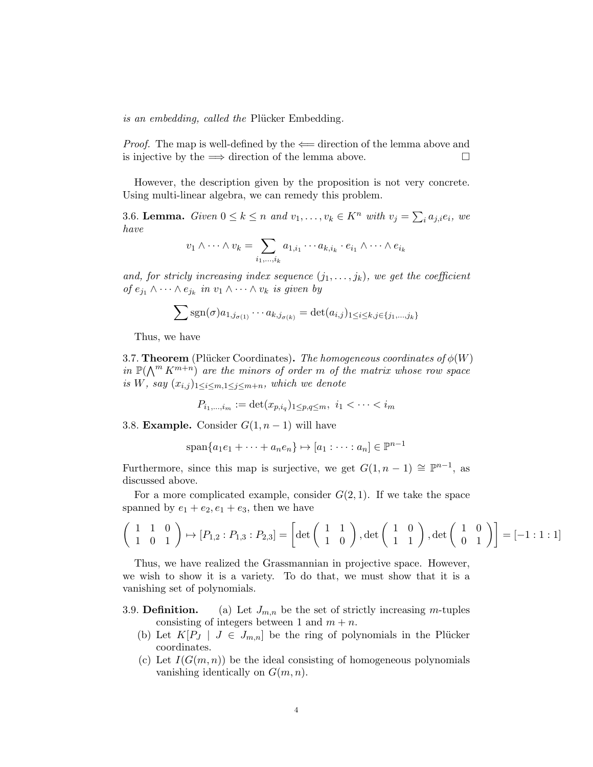is an embedding, called the Plücker Embedding.

*Proof.* The map is well-defined by the  $\Leftarrow$  direction of the lemma above and is injective by the  $\implies$  direction of the lemma above.

However, the description given by the proposition is not very concrete. Using multi-linear algebra, we can remedy this problem.

3.6. Lemma. Given  $0 \le k \le n$  and  $v_1, \ldots, v_k \in K^n$  with  $v_j = \sum_i a_{j,i} e_i$ , we have

$$
v_1 \wedge \cdots \wedge v_k = \sum_{i_1, \dots, i_k} a_{1, i_1} \cdots a_{k, i_k} \cdot e_{i_1} \wedge \cdots \wedge e_{i_k}
$$

and, for stricly increasing index sequence  $(j_1, \ldots, j_k)$ , we get the coefficient of  $e_{j_1} \wedge \cdots \wedge e_{j_k}$  in  $v_1 \wedge \cdots \wedge v_k$  is given by

$$
\sum \text{sgn}(\sigma) a_{1,j_{\sigma(1)}} \cdots a_{k,j_{\sigma(k)}} = \det(a_{i,j})_{1 \leq i \leq k, j \in \{j_1, \dots, j_k\}}
$$

Thus, we have

3.7. **Theorem** (Plücker Coordinates). The homogeneous coordinates of  $\phi(W)$ in  $\mathbb{P}(\bigwedge^m K^{m+n})$  are the minors of order m of the matrix whose row space is W, say  $(x_{i,j})_{1 \leq i \leq m, 1 \leq j \leq m+n}$ , which we denote

$$
P_{i_1,\dots,i_m} := \det(x_{p,i_q})_{1 \le p,q \le m}, \ i_1 < \dots < i_m
$$

3.8. **Example.** Consider  $G(1, n-1)$  will have

$$
\mathrm{span}\{a_1e_1 + \cdots + a_ne_n\} \mapsto [a_1 : \cdots : a_n] \in \mathbb{P}^{n-1}
$$

Furthermore, since this map is surjective, we get  $G(1, n-1) \cong \mathbb{P}^{n-1}$ , as discussed above.

For a more complicated example, consider  $G(2, 1)$ . If we take the space spanned by  $e_1 + e_2, e_1 + e_3$ , then we have

$$
\left(\begin{array}{cc} 1 & 1 & 0 \\ 1 & 0 & 1 \end{array}\right) \mapsto [P_{1,2} : P_{1,3} : P_{2,3}] = \left[\det\left(\begin{array}{cc} 1 & 1 \\ 1 & 0 \end{array}\right), \det\left(\begin{array}{cc} 1 & 0 \\ 1 & 1 \end{array}\right), \det\left(\begin{array}{cc} 1 & 0 \\ 0 & 1 \end{array}\right)\right] = [-1 : 1 : 1]
$$

Thus, we have realized the Grassmannian in projective space. However, we wish to show it is a variety. To do that, we must show that it is a vanishing set of polynomials.

- 3.9. **Definition.** (a) Let  $J_{m,n}$  be the set of strictly increasing m-tuples consisting of integers between 1 and  $m + n$ .
	- (b) Let  $K[P_J \mid J \in J_{m,n}]$  be the ring of polynomials in the Plücker coordinates.
	- (c) Let  $I(G(m, n))$  be the ideal consisting of homogeneous polynomials vanishing identically on  $G(m, n)$ .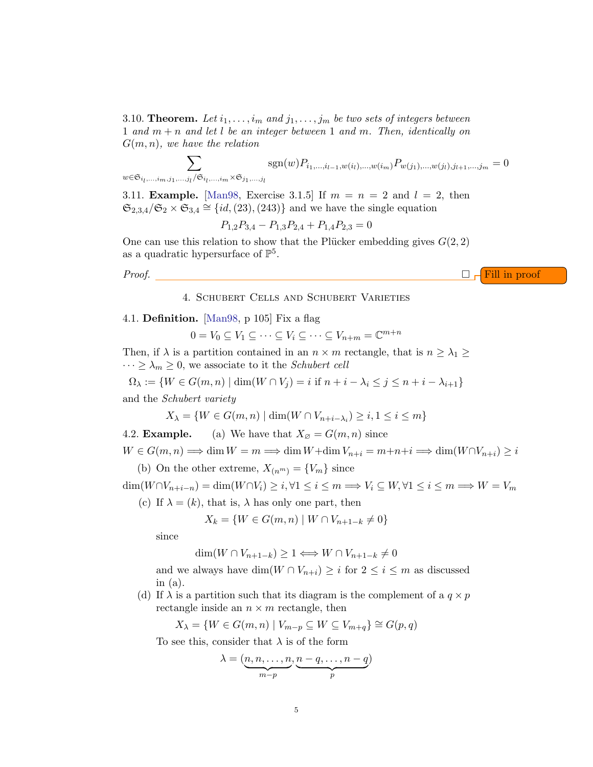3.10. Theorem. Let  $i_1, \ldots, i_m$  and  $j_1, \ldots, j_m$  be two sets of integers between 1 and  $m + n$  and let l be an integer between 1 and m. Then, identically on  $G(m, n)$ , we have the relation

$$
\sum_{w \in \mathfrak{S}_{i_l, ..., i_m, j_1, ..., j_l}/\mathfrak{S}_{i_l, ..., i_m} \times \mathfrak{S}_{j_1, ..., j_l}} \text{sgn}(w) P_{i_1, ..., i_{l-1}, w(i_l), ..., w(i_m)} P_{w(j_1), ..., w(j_l), j_{l+1}, ..., j_m} = 0
$$

3.11. **Example.** [\[Man98,](#page-9-0) Exercise 3.1.5] If  $m = n = 2$  and  $l = 2$ , then  $\mathfrak{S}_{2,3,4}/\mathfrak{S}_2 \times \mathfrak{S}_{3,4} \cong \{id,(23),(243)\}\$ and we have the single equation

$$
P_{1,2}P_{3,4} - P_{1,3}P_{2,4} + P_{1,4}P_{2,3} = 0
$$

One can use this relation to show that the Plücker embedding gives  $G(2, 2)$ as a quadratic hypersurface of  $\mathbb{P}^5$ .

*Proof.*  $\Box \vdash$  Fill in proof

# 4. Schubert Cells and Schubert Varieties

## 4.1. Definition. [\[Man98,](#page-9-0) p 105] Fix a flag

$$
0 = V_0 \subseteq V_1 \subseteq \cdots \subseteq V_i \subseteq \cdots \subseteq V_{n+m} = \mathbb{C}^{m+n}
$$

Then, if  $\lambda$  is a partition contained in an  $n \times m$  rectangle, that is  $n \geq \lambda_1 \geq$  $\cdots \geq \lambda_m \geq 0$ , we associate to it the *Schubert cell* 

$$
\Omega_{\lambda} := \{ W \in G(m, n) \mid \dim(W \cap V_j) = i \text{ if } n + i - \lambda_i \le j \le n + i - \lambda_{i+1} \}
$$

and the Schubert variety

$$
X_{\lambda} = \{ W \in G(m, n) \mid \dim(W \cap V_{n+i-\lambda_i}) \ge i, 1 \le i \le m \}
$$

4.2. **Example.** (a) We have that 
$$
X_{\emptyset} = G(m, n)
$$
 since

 $W \in G(m, n) \Longrightarrow \dim W = m \Longrightarrow \dim W + \dim V_{n+i} = m+n+i \Longrightarrow \dim (W \cap V_{n+i}) \geq i$ 

(b) On the other extreme,  $X_{(n^m)} = \{V_m\}$  since

 $\dim(W \cap V_{n+i-n}) = \dim(W \cap V_i) \geq i, \forall 1 \leq i \leq m \Longrightarrow V_i \subseteq W, \forall 1 \leq i \leq m \Longrightarrow W = V_m$ 

(c) If  $\lambda = (k)$ , that is,  $\lambda$  has only one part, then

$$
X_k = \{ W \in G(m, n) \mid W \cap V_{n+1-k} \neq 0 \}
$$

since

$$
\dim(W \cap V_{n+1-k}) \ge 1 \Longleftrightarrow W \cap V_{n+1-k} \ne 0
$$

and we always have  $\dim(W \cap V_{n+i}) \geq i$  for  $2 \leq i \leq m$  as discussed in (a).

(d) If  $\lambda$  is a partition such that its diagram is the complement of a  $q \times p$ rectangle inside an  $n \times m$  rectangle, then

$$
X_{\lambda} = \{ W \in G(m, n) \mid V_{m-p} \subseteq W \subseteq V_{m+q} \} \cong G(p, q)
$$

To see this, consider that  $\lambda$  is of the form

$$
\lambda = (\underbrace{n, n, \dots, n}_{m-p}, \underbrace{n-q, \dots, n-q}_{p})
$$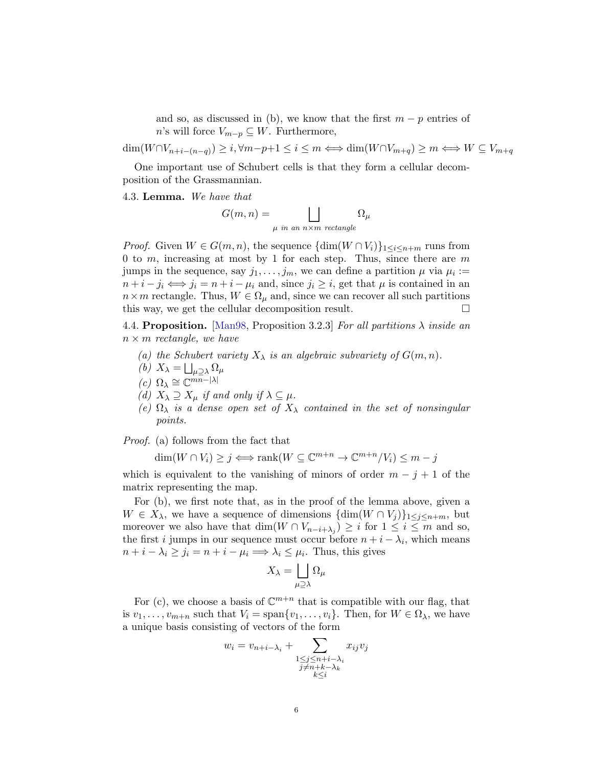and so, as discussed in (b), we know that the first  $m - p$  entries of n's will force  $V_{m-p} \subseteq W$ . Furthermore,

 $\dim(W \cap V_{n+i-(n-q)}) \geq i, \forall m-p+1 \leq i \leq m \Longleftrightarrow \dim(W \cap V_{m+q}) \geq m \Longleftrightarrow W \subseteq V_{m+q}$ 

One important use of Schubert cells is that they form a cellular decomposition of the Grassmannian.

4.3. Lemma. We have that

$$
G(m, n) = \bigsqcup_{\mu \text{ in an } n \times m \text{ rectangle}} \Omega_{\mu}
$$

*Proof.* Given  $W \in G(m, n)$ , the sequence  $\{ \dim(W \cap V_i) \}_{1 \leq i \leq n+m}$  runs from 0 to  $m$ , increasing at most by 1 for each step. Thus, since there are  $m$ jumps in the sequence, say  $j_1, \ldots, j_m$ , we can define a partition  $\mu$  via  $\mu_i :=$  $n+i-j_i \Longleftrightarrow j_i = n+i-\mu_i$  and, since  $j_i \geq i$ , get that  $\mu$  is contained in an  $n \times m$  rectangle. Thus,  $W \in \Omega_{\mu}$  and, since we can recover all such partitions this way, we get the cellular decomposition result.

4.4. Proposition. [\[Man98,](#page-9-0) Proposition 3.2.3] For all partitions  $\lambda$  inside an  $n \times m$  rectangle, we have

- (a) the Schubert variety  $X_{\lambda}$  is an algebraic subvariety of  $G(m, n)$ .
- (b)  $X_{\lambda} = \bigsqcup_{\mu \supseteq \lambda} \Omega_{\mu}$
- (c)  $\Omega_{\lambda} \cong \mathbb{C}^{m\overline{n}-|\lambda|}$
- (d)  $X_{\lambda} \supseteq X_{\mu}$  if and only if  $\lambda \subseteq \mu$ .
- (e)  $\Omega_{\lambda}$  is a dense open set of  $X_{\lambda}$  contained in the set of nonsingular points.

Proof. (a) follows from the fact that

$$
\dim(W \cap V_i) \ge j \iff \text{rank}(W \subseteq \mathbb{C}^{m+n} \to \mathbb{C}^{m+n}/V_i) \le m - j
$$

which is equivalent to the vanishing of minors of order  $m - j + 1$  of the matrix representing the map.

For (b), we first note that, as in the proof of the lemma above, given a  $W \in X_{\lambda}$ , we have a sequence of dimensions  $\{\dim(W \cap V_i)\}_{1 \leq i \leq n+m}$ , but moreover we also have that  $\dim(W \cap V_{n-i+\lambda_j}) \geq i$  for  $1 \leq i \leq m$  and so, the first *i* jumps in our sequence must occur before  $n + i - \lambda_i$ , which means  $n + i - \lambda_i \ge j_i = n + i - \mu_i \Longrightarrow \lambda_i \le \mu_i$ . Thus, this gives

$$
X_{\lambda} = \bigsqcup_{\mu \supseteq \lambda} \Omega_{\mu}
$$

For (c), we choose a basis of  $\mathbb{C}^{m+n}$  that is compatible with our flag, that is  $v_1, \ldots, v_{m+n}$  such that  $V_i = \text{span}\{v_1, \ldots, v_i\}$ . Then, for  $W \in \Omega_\lambda$ , we have a unique basis consisting of vectors of the form

$$
w_i = v_{n+i-\lambda_i} + \sum_{\substack{1 \le j \le n+i-\lambda_i \\ j \ne n+k-\lambda_k \\ k \le i}} x_{ij} v_j
$$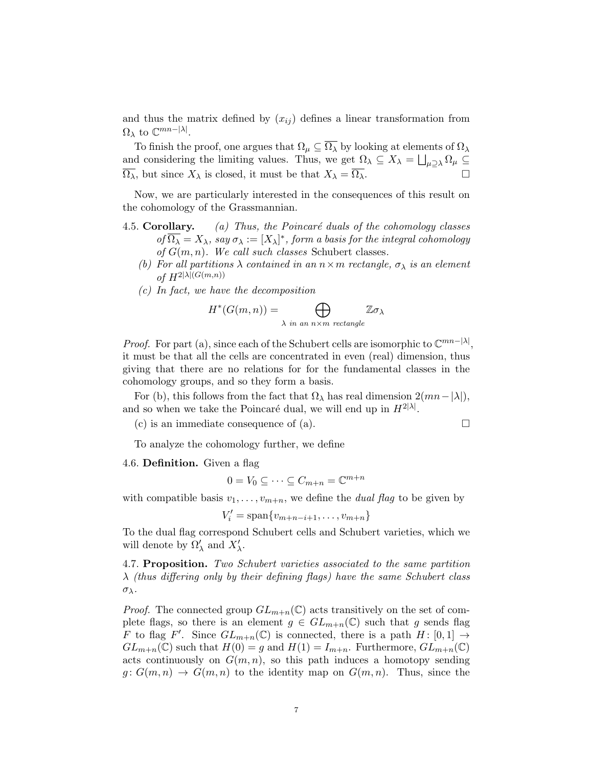and thus the matrix defined by  $(x_{ij})$  defines a linear transformation from  $\Omega_{\lambda}$  to  $\mathbb{C}^{mn-|\lambda|}$ .

To finish the proof, one argues that  $\Omega_{\mu} \subseteq \overline{\Omega_{\lambda}}$  by looking at elements of  $\Omega_{\lambda}$ and considering the limiting values. Thus, we get  $\Omega_{\lambda} \subseteq X_{\lambda} = \bigsqcup_{\mu \supseteq \lambda} \Omega_{\mu} \subseteq$  $\overline{\Omega_{\lambda}}$ , but since  $X_{\lambda}$  is closed, it must be that  $X_{\lambda} = \overline{\Omega_{\lambda}}$ .

Now, we are particularly interested in the consequences of this result on the cohomology of the Grassmannian.

- 4.5. Corollary. (a) Thus, the Poincaré duals of the cohomology classes of  $\overline{\Omega_{\lambda}} = X_{\lambda}$ , say  $\sigma_{\lambda} := [X_{\lambda}]^*$ , form a basis for the integral cohomology of  $G(m, n)$ . We call such classes Schubert classes.
	- (b) For all partitions  $\lambda$  contained in an  $n \times m$  rectangle,  $\sigma_{\lambda}$  is an element of  $H^{2|\lambda|(G(m,n))}$
	- (c) In fact, we have the decomposition

$$
H^*(G(m,n)) = \bigoplus_{\lambda \text{ in an } n \times m \text{ rectangle}} \mathbb{Z}\sigma_{\lambda}
$$

*Proof.* For part (a), since each of the Schubert cells are isomorphic to  $\mathbb{C}^{mn-|\lambda|}$ , it must be that all the cells are concentrated in even (real) dimension, thus giving that there are no relations for for the fundamental classes in the cohomology groups, and so they form a basis.

For (b), this follows from the fact that  $\Omega_{\lambda}$  has real dimension  $2(mn-|\lambda|)$ , and so when we take the Poincaré dual, we will end up in  $H^{2|\lambda|}$ .

(c) is an immediate consequence of (a).

$$
\mathsf{L}^{\mathsf{L}}
$$

To analyze the cohomology further, we define

4.6. Definition. Given a flag

$$
0 = V_0 \subseteq \cdots \subseteq C_{m+n} = \mathbb{C}^{m+n}
$$

with compatible basis  $v_1, \ldots, v_{m+n}$ , we define the *dual flag* to be given by

 $V'_{i} = \text{span}\{v_{m+n-i+1}, \ldots, v_{m+n}\}\$ 

To the dual flag correspond Schubert cells and Schubert varieties, which we will denote by  $\Omega'_{\lambda}$  and  $X'_{\lambda}$ .

4.7. Proposition. Two Schubert varieties associated to the same partition  $\lambda$  (thus differing only by their defining flags) have the same Schubert class σλ.

*Proof.* The connected group  $GL_{m+n}(\mathbb{C})$  acts transitively on the set of complete flags, so there is an element  $g \in GL_{m+n}(\mathbb{C})$  such that g sends flag F to flag F'. Since  $GL_{m+n}(\mathbb{C})$  is connected, there is a path  $H: [0,1] \rightarrow$  $GL_{m+n}(\mathbb{C})$  such that  $H(0) = g$  and  $H(1) = I_{m+n}$ . Furthermore,  $GL_{m+n}(\mathbb{C})$ acts continuously on  $G(m, n)$ , so this path induces a homotopy sending  $g: G(m,n) \to G(m,n)$  to the identity map on  $G(m,n)$ . Thus, since the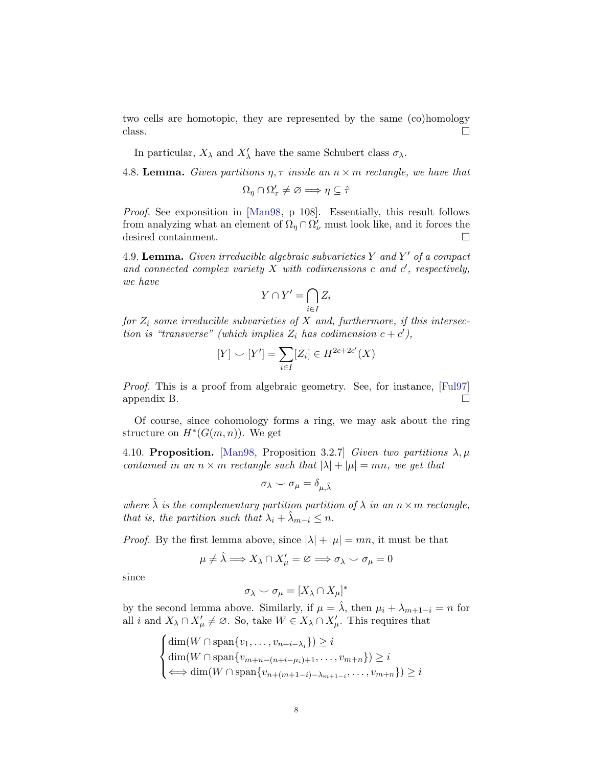two cells are homotopic, they are represented by the same (co)homology  $\Box$ 

In particular,  $X_{\lambda}$  and  $X'_{\lambda}$  have the same Schubert class  $\sigma_{\lambda}$ .

4.8. Lemma. Given partitions  $\eta, \tau$  inside an  $n \times m$  rectangle, we have that

$$
\Omega_\eta\cap\Omega_\tau'\neq\varnothing\Longrightarrow\eta\subseteq\hat\tau
$$

Proof. See exponsition in [\[Man98,](#page-9-0) p 108]. Essentially, this result follows from analyzing what an element of  $\Omega_{\eta} \cap \Omega_{\nu}^{'}$  must look like, and it forces the desired containment.

4.9. Lemma. Given irreducible algebraic subvarieties Y and Y' of a compact and connected complex variety  $X$  with codimensions  $c$  and  $c'$ , respectively, we have

$$
Y \cap Y' = \bigcap_{i \in I} Z_i
$$

for  $Z_i$  some irreducible subvarieties of  $X$  and, furthermore, if this intersection is "transverse" (which implies  $Z_i$  has codimension  $c + c'$ ),

$$
[Y] \smile [Y'] = \sum_{i \in I} [Z_i] \in H^{2c+2c'}(X)
$$

Proof. This is a proof from algebraic geometry. See, for instance, [\[Ful97\]](#page-9-1) appendix B.

Of course, since cohomology forms a ring, we may ask about the ring structure on  $H^*(G(m,n))$ . We get

4.10. Proposition. [\[Man98,](#page-9-0) Proposition 3.2.7] Given two partitions  $\lambda, \mu$ contained in an  $n \times m$  rectangle such that  $|\lambda| + |\mu| = mn$ , we get that

$$
\sigma_{\lambda} \smile \sigma_{\mu} = \delta_{\mu, \hat{\lambda}}
$$

where  $\hat{\lambda}$  is the complementary partition partition of  $\lambda$  in an  $n \times m$  rectangle, that is, the partition such that  $\lambda_i + \hat{\lambda}_{m-i} \leq n$ .

*Proof.* By the first lemma above, since  $|\lambda| + |\mu| = mn$ , it must be that

$$
\mu \neq \hat{\lambda} \Longrightarrow X_{\lambda} \cap X_{\mu}' = \varnothing \Longrightarrow \sigma_{\lambda} \smile \sigma_{\mu} = 0
$$

since

$$
\sigma_\lambda\smile \sigma_\mu=[X_\lambda\cap X_\mu]^*
$$

by the second lemma above. Similarly, if  $\mu = \lambda$ , then  $\mu_i + \lambda_{m+1-i} = n$  for all i and  $X_{\lambda} \cap X_{\mu}' \neq \emptyset$ . So, take  $W \in X_{\lambda} \cap X_{\mu}'$ . This requires that

$$
\begin{cases} \dim(W \cap \text{span}\{v_1, \dots, v_{n+i-\lambda_i}\}) \geq i \\ \dim(W \cap \text{span}\{v_{m+n-(n+i-\mu_i)+1}, \dots, v_{m+n}\}) \geq i \\ \iff \dim(W \cap \text{span}\{v_{n+(m+1-i)-\lambda_{m+1-i}}, \dots, v_{m+n}\}) \geq i \end{cases}
$$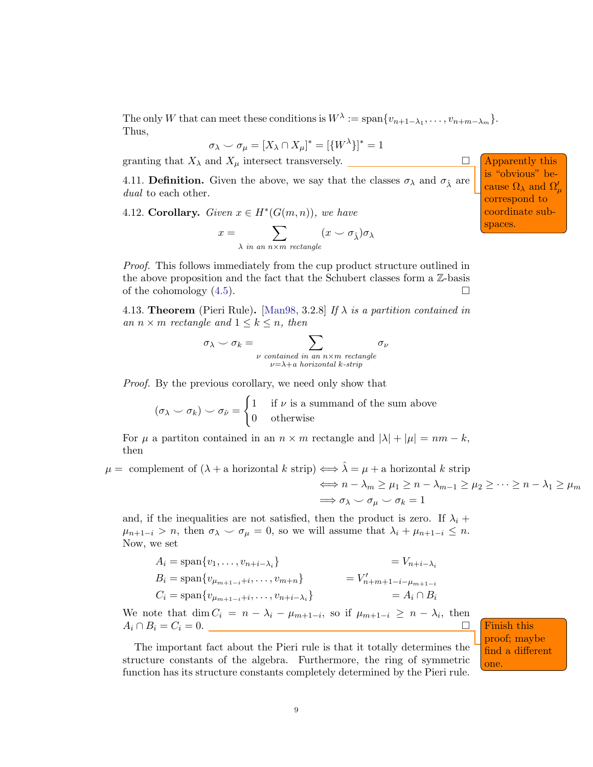The only W that can meet these conditions is  $W^{\lambda} := \text{span}\{v_{n+1-\lambda_1}, \ldots, v_{n+m-\lambda_m}\}.$ Thus,

$$
\sigma_{\lambda} \smile \sigma_{\mu} = [X_{\lambda} \cap X_{\mu}]^* = [\{W^{\lambda}\}]^* = 1
$$

granting that  $X_{\lambda}$  and  $X_{\mu}$  intersect transversely.  $\Box$  Apparently this

4.11. **Definition.** Given the above, we say that the classes  $\sigma_{\lambda}$  and  $\sigma_{\hat{\lambda}}$  are dual to each other.

4.12. Corollary. Given  $x \in H^*(G(m,n))$ , we have

$$
x = \sum_{\lambda \text{ in an } n \times m \text{ rectangle}} (x \smile \sigma_{\hat{\lambda}}) \sigma_{\lambda}
$$

Proof. This follows immediately from the cup product structure outlined in the above proposition and the fact that the Schubert classes form a Z-basis of the cohomology  $(4.5)$ .

4.13. Theorem (Pieri Rule). [\[Man98,](#page-9-0) 3.2.8] If  $\lambda$  is a partition contained in an  $n \times m$  rectangle and  $1 \leq k \leq n$ , then

$$
\sigma_{\lambda} \smile \sigma_k = \sum_{\substack{\nu \text{ contained in an } n \times m \text{ rectangle} \\ \nu = \lambda + a \text{ horizontal } k \text{-strip}}} \sigma_{\nu}
$$

Proof. By the previous corollary, we need only show that

$$
(\sigma_{\lambda} \smile \sigma_k) \smile \sigma_{\hat{\nu}} = \begin{cases} 1 & \text{if } \nu \text{ is a summand of the sum above} \\ 0 & \text{otherwise} \end{cases}
$$

For  $\mu$  a partiton contained in an  $n \times m$  rectangle and  $|\lambda| + |\mu| = nm - k$ , then

 $\mu =$  complement of  $(\lambda + a \text{ horizontal } k \text{ strip}) \Longleftrightarrow \hat{\lambda} = \mu + a \text{ horizontal } k \text{ strip}$ 

$$
\iff n - \lambda_m \ge \mu_1 \ge n - \lambda_{m-1} \ge \mu_2 \ge \dots \ge n - \lambda_1 \ge \mu_m
$$
  

$$
\implies \sigma_{\lambda} \sim \sigma_{\mu} \sim \sigma_k = 1
$$

and, if the inequalities are not satisfied, then the product is zero. If  $\lambda_i$  +  $\mu_{n+1-i} > n$ , then  $\sigma_{\lambda} \smile \sigma_{\mu} = 0$ , so we will assume that  $\lambda_i + \mu_{n+1-i} \leq n$ . Now, we set

$$
A_{i} = \text{span}\{v_{1}, \dots, v_{n+i-\lambda_{i}}\} = V_{n+i-\lambda_{i}}
$$
  
\n
$$
B_{i} = \text{span}\{v_{\mu_{m+1-i}+i}, \dots, v_{m+n}\} = V'_{n+m+1-i-\mu_{m+1-i}}
$$
  
\n
$$
C_{i} = \text{span}\{v_{\mu_{m+1-i}+i}, \dots, v_{n+i-\lambda_{i}}\} = A_{i} \cap B_{i}
$$

We note that  $\dim C_i = n - \lambda_i - \mu_{m+1-i}$ , so if  $\mu_{m+1-i} \geq n - \lambda_i$ , then  $A_i \cap B_i = C_i = 0.$  Finish this

The important fact about the Pieri rule is that it totally determines the structure constants of the algebra. Furthermore, the ring of symmetric function has its structure constants completely determined by the Pieri rule.

proof; maybe find a different one.

is "obvious" because  $\Omega_{\lambda}$  and  $\Omega_{\mu}^{\prime}$ correspond to coordinate subspaces.